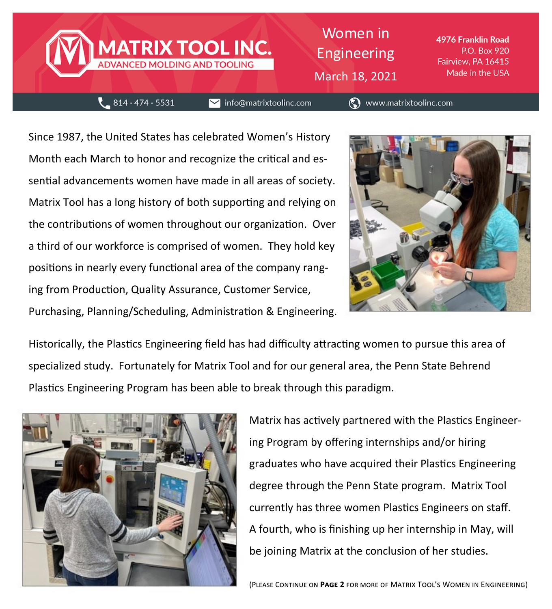

Women in Engineering March 18, 2021

4976 Franklin Road P.O. Box 920 Fairview, PA 16415 Made in the USA

 $-814.474.5531$ 

 $\blacktriangleright$  info@matrixtoolinc.com

◯ www.matrixtoolinc.com

Since 1987, the United States has celebrated Women's History Month each March to honor and recognize the critical and essential advancements women have made in all areas of society. Matrix Tool has a long history of both supporting and relying on the contributions of women throughout our organization. Over a third of our workforce is comprised of women. They hold key positions in nearly every functional area of the company ranging from Production, Quality Assurance, Customer Service, Purchasing, Planning/Scheduling, Administration & Engineering.



Historically, the Plastics Engineering field has had difficulty attracting women to pursue this area of specialized study. Fortunately for Matrix Tool and for our general area, the Penn State Behrend Plastics Engineering Program has been able to break through this paradigm.



Matrix has actively partnered with the Plastics Engineering Program by offering internships and/or hiring graduates who have acquired their Plastics Engineering degree through the Penn State program. Matrix Tool currently has three women Plastics Engineers on staff. A fourth, who is finishing up her internship in May, will be joining Matrix at the conclusion of her studies.